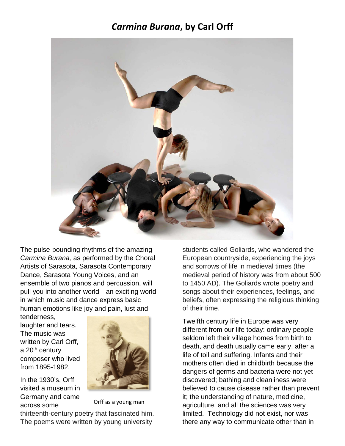### *Carmina Burana***, by Carl Orff**



The pulse-pounding rhythms of the amazing *Carmina Burana,* as performed by the Choral Artists of Sarasota, Sarasota Contemporary Dance, Sarasota Young Voices, and an ensemble of two pianos and percussion, will pull you into another world—an exciting world in which music and dance express basic human emotions like joy and pain, lust and

tenderness, laughter and tears. The music was written by Carl Orff, a 20<sup>th</sup> century composer who lived from 1895-1982.

In the 1930's, Orff visited a museum in Germany and came across some



thirteenth-century poetry that fascinated him. The poems were written by young university Orff as a young man

students called Goliards, who wandered the European countryside, experiencing the joys and sorrows of life in medieval times (the medieval period of history was from about 500 to 1450 AD). The Goliards wrote poetry and songs about their experiences, feelings, and beliefs, often expressing the religious thinking of their time.

Twelfth century life in Europe was very different from our life today: ordinary people seldom left their village homes from birth to death, and death usually came early, after a life of toil and suffering. Infants and their mothers often died in childbirth because the dangers of germs and bacteria were not yet discovered; bathing and cleanliness were believed to cause disease rather than prevent it; the understanding of nature, medicine, agriculture, and all the sciences was very limited. Technology did not exist, nor was there any way to communicate other than in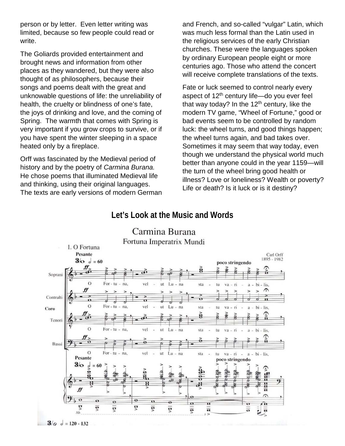person or by letter. Even letter writing was limited, because so few people could read or write.

The Goliards provided entertainment and brought news and information from other places as they wandered, but they were also thought of as philosophers, because their songs and poems dealt with the great and unknowable questions of life: the unreliability of health, the cruelty or blindness of one's fate, the joys of drinking and love, and the coming of Spring. The warmth that comes with Spring is very important if you grow crops to survive, or if you have spent the winter sleeping in a space heated only by a fireplace.

Orff was fascinated by the Medieval period of history and by the poetry of *Carmina Burana.*  He chose poems that illuminated Medieval life and thinking, using their original languages. The texts are early versions of modern German and French, and so-called "vulgar" Latin, which was much less formal than the Latin used in the religious services of the early Christian churches. These were the languages spoken by ordinary European people eight or more centuries ago. Those who attend the concert will receive complete translations of the texts.

Fate or luck seemed to control nearly every aspect of  $12<sup>th</sup>$  century life—do you ever feel that way today? In the  $12<sup>th</sup>$  century, like the modern TV game, "Wheel of Fortune," good or bad events seem to be controlled by random luck: the wheel turns, and good things happen; the wheel turns again, and bad takes over. Sometimes it may seem that way today, even though we understand the physical world much better than anyone could in the year 1159—will the turn of the wheel bring good health or illness? Love or loneliness? Wealth or poverty? Life or death? Is it luck or is it destiny?

#### **Let's Look at the Music and Words**



# Carmina Burana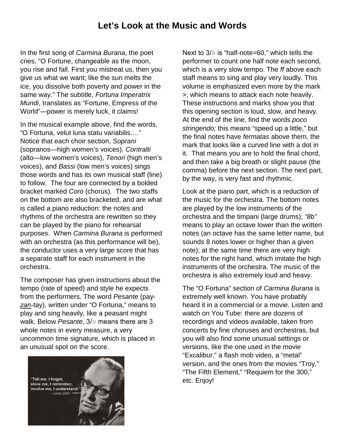### **Let's Look at the Music and Words**

In the first song of *Carmina Burana*, the poet cries, "O Fortune, changeable as the moon, you rise and fall. First you mistreat us, then you give us what we want; like the sun melts the ice, you dissolve both poverty and power in the same way." The subtitle, *Fortuna Imperatrix Mundi*, translates as "Fortune, Empress of the World"—power is merely luck, it claims!

In the musical example above, find the words, "O Fortuna, velut luna statu variabilis…." Notice that each choir section, *Soprani* (sopranos—high women's voices), *Contralti* (alto—low women's voices), *Tenori* (high men's voices), and *Bassi* (low men's voices) sings those words and has its own musical staff (line) to follow. The four are connected by a bolded bracket marked *Coro* (chorus). The two staffs on the bottom are also bracketed, and are what is called a piano reduction: the notes and rhythms of the orchestra are rewritten so they can be played by the piano for rehearsal purposes. When *Carmina Burana* is performed with an orchestra (as this performance will be), the conductor uses a very large score that has a separate staff for each instrument in the orchestra.

The composer has given instructions about the tempo (rate of speed) and style he expects from the performers. The word *Pesante* (pay*zan*-tay), written under "O Fortuna," means to play and sing heavily, like a peasant might walk. Below *Pesante*, 3/○ means there are 3 whole notes in every measure, a very uncommon time signature, which is placed in an unusual spot on the score.



Next to 3/○ is "half-note=60," which tells the performer to count one half note each second, which is a very slow tempo. The *ff* above each staff means to sing and play very loudly. This volume is emphasized even more by the mark >, which means to attack each note heavily. These instructions and marks show you that this opening section is loud, slow, and heavy. At the end of the line, find the words *poco stringendo;* this means "speed up a little," but the final notes have *fermatas* above them, the mark that looks like a curved line with a dot in it. That means you are to hold the final chord, and then take a big breath or slight pause (the comma) before the next section. The next part, by the way, is very fast and rhythmic.

Look at the piano part, which is a reduction of the music for the orchestra. The bottom notes are played by the low instruments of the orchestra and the timpani (large drums); *"8b"* means to play an octave lower than the written notes (an octave has the same letter name, but sounds 8 notes lower or higher than a given note); at the same time there are very high notes for the right hand, which imitate the high instruments of the orchestra. The music of the orchestra is also extremely loud and heavy.

The "O Fortuna" section of *Carmina Burana* is extremely well known. You have probably heard it in a commercial or a movie. Listen and watch on You Tube: there are dozens of recordings and videos available, taken from concerts by fine choruses and orchestras, but you will also find some unusual settings or versions, like the one used in the movie "Excalibur," a flash mob video, a "metal" version, and the ones from the movies "Troy," "The Fifth Element," "Requiem for the 300," etc. Enjoy!